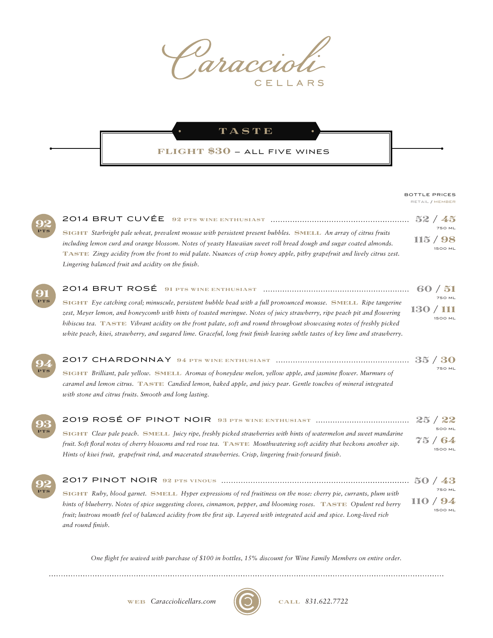

TASTE

## flight \$30 — ALL FIVE WINES

## RETAIL / MEMBER BOTTLE PRICES

| PTS |  |
|-----|--|
|     |  |

| SIGHT Starbright pale wheat, prevalent mousse with persistent present bubbles. SMELL An array of citrus fruits           |          | <b>750 ML</b>  |
|--------------------------------------------------------------------------------------------------------------------------|----------|----------------|
| including lemon curd and orange blossom. Notes of yeasty Hawaiian sweet roll bread dough and sugar coated almonds.       | 115 / 98 | <b>1500 ML</b> |
| TASTE Zingy acidity from the front to mid palate. Nuances of crisp honey apple, pithy grapefruit and lively citrus zest. |          |                |
| Lingering balanced fruit and acidity on the finish.                                                                      |          |                |
|                                                                                                                          |          |                |

| 91         |                                                                                                                                |                |
|------------|--------------------------------------------------------------------------------------------------------------------------------|----------------|
| <b>PTS</b> | SIGHT Eye catching coral; minuscule, persistent bubble bead with a full pronounced mousse. SMELL Ripe tangerine                | <b>750 ML</b>  |
|            | zest, Meyer lemon, and honeycomb with hints of toasted meringue. Notes of juicy strawberry, ripe peach pit and flowering       | 130 / 111      |
|            | hibiscus tea. TASTE Vibrant acidity on the front palate, soft and round throughout showcasing notes of freshly picked          | <b>1500 ML</b> |
|            | white peach, kiwi, strawberry, and sugared lime. Graceful, long fruit finish leaving subtle tastes of key lime and strawberry. |                |



92 PTS

| 94         |                                                                                                                  |               |
|------------|------------------------------------------------------------------------------------------------------------------|---------------|
| <b>PTS</b> | SIGHT Brilliant, pale yellow. SMELL Aromas of honeydew melon, yellow apple, and jasmine flower. Murmurs of       | <b>750 ML</b> |
|            | caramel and lemon citrus. TASTE Candied lemon, baked apple, and juicy pear. Gentle touches of mineral integrated |               |
|            | with stone and citrus fruits. Smooth and long lasting.                                                           |               |
|            |                                                                                                                  |               |

| 93                                                                                                                       |                                                                                                                    |                         |
|--------------------------------------------------------------------------------------------------------------------------|--------------------------------------------------------------------------------------------------------------------|-------------------------|
| <b>PTS</b>                                                                                                               | SIGHT Clear pale peach. SMELL Juicy ripe, freshly picked strawberries with hints of watermelon and sweet mandarine | <b>500 ML</b>           |
| fruit. Soft floral notes of cherry blossoms and red rose tea. TASTE Mouthwatering soft acidity that beckons another sip. |                                                                                                                    | 75/64<br><b>1500 ML</b> |
|                                                                                                                          | Hints of kiwi fruit, grapefruit rind, and macerated strawberries. Crisp, lingering fruit-forward finish.           |                         |

| SIGHT Ruby, blood garnet. SMELL Hyper expressions of red fruitiness on the nose: cherry pie, currants, plum with           |        | <b>750 ML</b>  |  |
|----------------------------------------------------------------------------------------------------------------------------|--------|----------------|--|
| hints of blueberry. Notes of spice suggesting cloves, cinnamon, pepper, and blooming roses. TASTE Opulent red berry        | 110/94 |                |  |
| fruit; lustrous mouth feel of balanced acidity from the first sip. Layered with integrated acid and spice. Long-lived rich |        | <b>1500 ML</b> |  |
| and round finish.                                                                                                          |        |                |  |

*One ight fee waived with purchase of \$100 in bottles, 15% discount for Wine Family Members on entire order.*